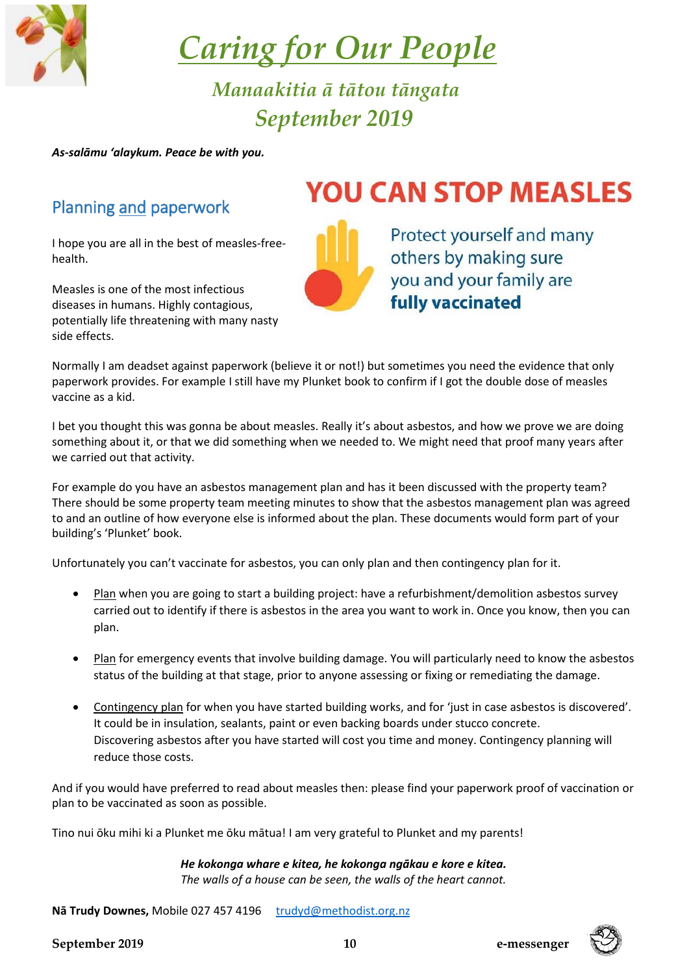

 *Caring for Our People*

 *Manaakitia ā tātou tāngata September 2019*

*As-salāmu 'alaykum. Peace be with you.*

#### Planning and paperwork

I hope you are all in the best of measles-freehealth.

Measles is one of the most infectious diseases in humans. Highly contagious, potentially life threatening with many nasty side effects.

# **YOU CAN STOP MEASLES**

Protect yourself and many others by making sure you and your family are **fully vaccinated** 

Normally I am deadset against paperwork (believe it or not!) but sometimes you need the evidence that only paperwork provides. For example I still have my Plunket book to confirm if I got the double dose of measles vaccine as a kid.

I bet you thought this was gonna be about measles. Really it's about asbestos, and how we prove we are doing something about it, or that we did something when we needed to. We might need that proof many years after we carried out that activity.

For example do you have an asbestos management plan and has it been discussed with the property team? There should be some property team meeting minutes to show that the asbestos management plan was agreed to and an outline of how everyone else is informed about the plan. These documents would form part of your building's 'Plunket' book.

Unfortunately you can't vaccinate for asbestos, you can only plan and then contingency plan for it.

- Plan when you are going to start a building project: have a refurbishment/demolition asbestos survey carried out to identify if there is asbestos in the area you want to work in. Once you know, then you can plan.
- Plan for emergency events that involve building damage. You will particularly need to know the asbestos status of the building at that stage, prior to anyone assessing or fixing or remediating the damage.
- Contingency plan for when you have started building works, and for 'just in case asbestos is discovered'. It could be in insulation, sealants, paint or even backing boards under stucco concrete. Discovering asbestos after you have started will cost you time and money. Contingency planning will reduce those costs.

And if you would have preferred to read about measles then: please find your paperwork proof of vaccination or plan to be vaccinated as soon as possible.

Tino nui ōku mihi ki a Plunket me ōku mātua! I am very grateful to Plunket and my parents!

*He kokonga whare e kitea, he kokonga ngākau e kore e kitea. The walls of a house can be seen, the walls of the heart cannot.*

Nā Trudy Downes, Mobile 027 457 4196 [trudyd@methodist.org.nz](mailto:trudyd@methodist.org.nz)

 **September 2019 10 e-messenger**